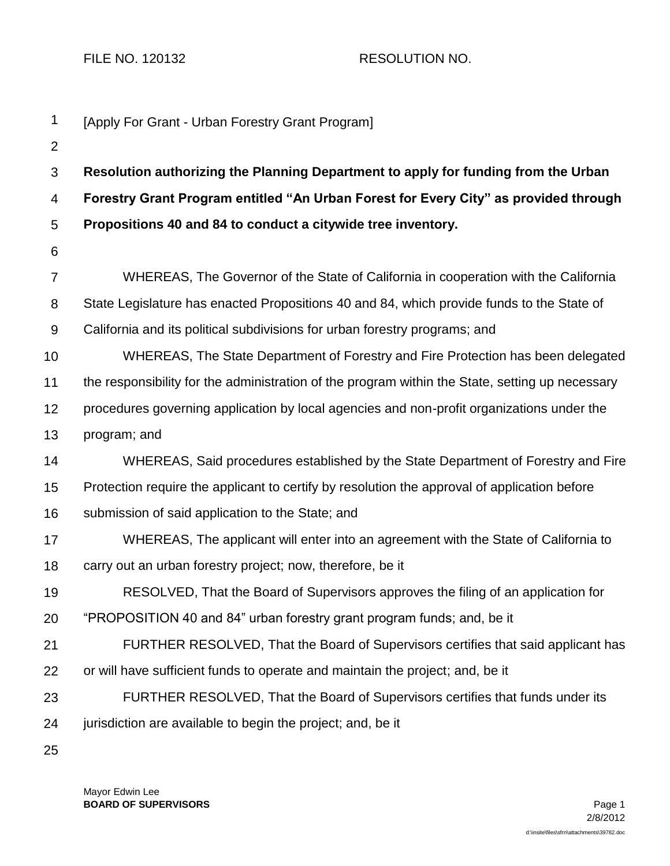FILE NO. 120132 RESOLUTION NO.

| 1              | [Apply For Grant - Urban Forestry Grant Program]                                                |
|----------------|-------------------------------------------------------------------------------------------------|
| 2              |                                                                                                 |
| 3              | Resolution authorizing the Planning Department to apply for funding from the Urban              |
| 4              | Forestry Grant Program entitled "An Urban Forest for Every City" as provided through            |
| 5              | Propositions 40 and 84 to conduct a citywide tree inventory.                                    |
| 6              |                                                                                                 |
| $\overline{7}$ | WHEREAS, The Governor of the State of California in cooperation with the California             |
| 8              | State Legislature has enacted Propositions 40 and 84, which provide funds to the State of       |
| $9\,$          | California and its political subdivisions for urban forestry programs; and                      |
| 10             | WHEREAS, The State Department of Forestry and Fire Protection has been delegated                |
| 11             | the responsibility for the administration of the program within the State, setting up necessary |
| 12             | procedures governing application by local agencies and non-profit organizations under the       |
| 13             | program; and                                                                                    |
| 14             | WHEREAS, Said procedures established by the State Department of Forestry and Fire               |
| 15             | Protection require the applicant to certify by resolution the approval of application before    |
| 16             | submission of said application to the State; and                                                |
| 17             | WHEREAS, The applicant will enter into an agreement with the State of California to             |
| 18             | carry out an urban forestry project; now, therefore, be it                                      |
| 19             | RESOLVED, That the Board of Supervisors approves the filing of an application for               |
| 20             | "PROPOSITION 40 and 84" urban forestry grant program funds; and, be it                          |
| 21             | FURTHER RESOLVED, That the Board of Supervisors certifies that said applicant has               |
| 22             | or will have sufficient funds to operate and maintain the project; and, be it                   |
| 23             | FURTHER RESOLVED, That the Board of Supervisors certifies that funds under its                  |
| 24             | jurisdiction are available to begin the project; and, be it                                     |
| 25             |                                                                                                 |